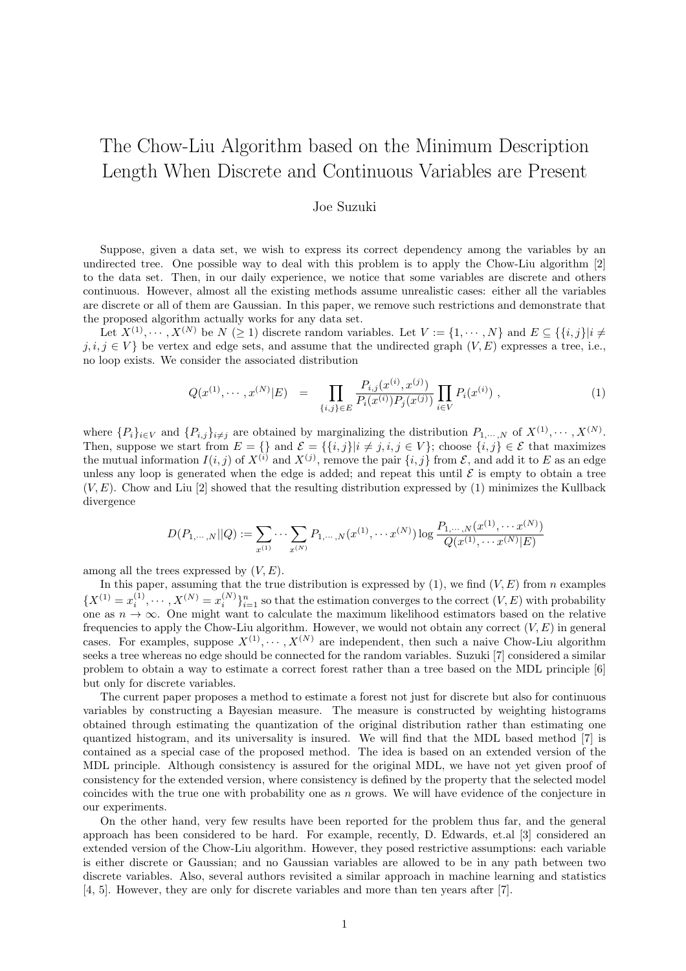## The Chow-Liu Algorithm based on the Minimum Description Length When Discrete and Continuous Variables are Present

## Joe Suzuki

Suppose, given a data set, we wish to express its correct dependency among the variables by an undirected tree. One possible way to deal with this problem is to apply the Chow-Liu algorithm [2] to the data set. Then, in our daily experience, we notice that some variables are discrete and others continuous. However, almost all the existing methods assume unrealistic cases: either all the variables are discrete or all of them are Gaussian. In this paper, we remove such restrictions and demonstrate that the proposed algorithm actually works for any data set.

Let  $X^{(1)}, \dots, X^{(N)}$  be  $N \geq 1$  discrete random variables. Let  $V := \{1, \dots, N\}$  and  $E \subseteq \{\{i, j\}|i \neq j\}$ *j, i, j* ∈ *V*} be vertex and edge sets, and assume that the undirected graph  $(V, E)$  expresses a tree, i.e., no loop exists. We consider the associated distribution

$$
Q(x^{(1)}, \cdots, x^{(N)}|E) = \prod_{\{i,j\} \in E} \frac{P_{i,j}(x^{(i)}, x^{(j)})}{P_i(x^{(i)}) P_j(x^{(j)})} \prod_{i \in V} P_i(x^{(i)}) , \qquad (1)
$$

where  $\{P_i\}_{i\in V}$  and  $\{P_{i,j}\}_{i\neq j}$  are obtained by marginalizing the distribution  $P_{1,\dots,N}$  of  $X^{(1)},\dots,X^{(N)}$ . Then, suppose we start from  $E = \{\}$  and  $\mathcal{E} = \{\{i,j\}| i \neq j, i,j \in V\}$ ; choose  $\{i,j\} \in \mathcal{E}$  that maximizes the mutual information  $I(i, j)$  of  $X^{(i)}$  and  $X^{(j)}$ , remove the pair  $\{i, j\}$  from  $\mathcal E$ , and add it to  $E$  as an edge unless any loop is generated when the edge is added; and repeat this until  $\mathcal E$  is empty to obtain a tree  $(V, E)$ . Chow and Liu [2] showed that the resulting distribution expressed by (1) minimizes the Kullback divergence

$$
D(P_{1,\dots,N}||Q) := \sum_{x^{(1)}} \dots \sum_{x^{(N)}} P_{1,\dots,N}(x^{(1)},\dots x^{(N)}) \log \frac{P_{1,\dots,N}(x^{(1)},\dots x^{(N)})}{Q(x^{(1)},\dots x^{(N)}|E)}
$$

among all the trees expressed by (*V, E*).

In this paper, assuming that the true distribution is expressed by  $(1)$ , we find  $(V, E)$  from *n* examples  ${X^{(1)} = x_i^{(1)}, \dots, X^{(N)} = x_i^{(N)}}_{i=1}^n$  so that the estimation converges to the correct  $(V, E)$  with probability one as  $n \to \infty$ . One might want to calculate the maximum likelihood estimators based on the relative frequencies to apply the Chow-Liu algorithm. However, we would not obtain any correct (*V, E*) in general cases. For examples, suppose  $X^{(1)}, \cdots, X^{(N)}$  are independent, then such a naive Chow-Liu algorithm seeks a tree whereas no edge should be connected for the random variables. Suzuki [7] considered a similar problem to obtain a way to estimate a correct forest rather than a tree based on the MDL principle [6] but only for discrete variables.

The current paper proposes a method to estimate a forest not just for discrete but also for continuous variables by constructing a Bayesian measure. The measure is constructed by weighting histograms obtained through estimating the quantization of the original distribution rather than estimating one quantized histogram, and its universality is insured. We will find that the MDL based method [7] is contained as a special case of the proposed method. The idea is based on an extended version of the MDL principle. Although consistency is assured for the original MDL, we have not yet given proof of consistency for the extended version, where consistency is defined by the property that the selected model coincides with the true one with probability one as *n* grows. We will have evidence of the conjecture in our experiments.

On the other hand, very few results have been reported for the problem thus far, and the general approach has been considered to be hard. For example, recently, D. Edwards, et.al [3] considered an extended version of the Chow-Liu algorithm. However, they posed restrictive assumptions: each variable is either discrete or Gaussian; and no Gaussian variables are allowed to be in any path between two discrete variables. Also, several authors revisited a similar approach in machine learning and statistics [4, 5]. However, they are only for discrete variables and more than ten years after [7].